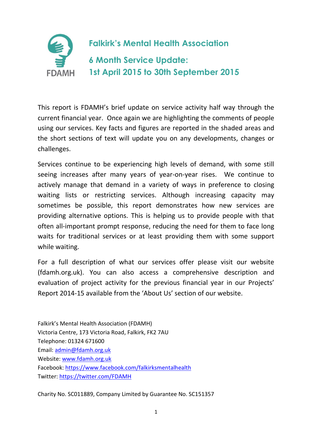

This report is FDAMH's brief update on service activity half way through the current financial year. Once again we are highlighting the comments of people using our services. Key facts and figures are reported in the shaded areas and the short sections of text will update you on any developments, changes or challenges.

Services continue to be experiencing high levels of demand, with some still seeing increases after many years of year-on-year rises. We continue to actively manage that demand in a variety of ways in preference to closing waiting lists or restricting services. Although increasing capacity may sometimes be possible, this report demonstrates how new services are providing alternative options. This is helping us to provide people with that often all-important prompt response, reducing the need for them to face long waits for traditional services or at least providing them with some support while waiting.

For a full description of what our services offer please visit our website (fdamh.org.uk). You can also access a comprehensive description and evaluation of project activity for the previous financial year in our Projects' Report 2014-15 available from the 'About Us' section of our website.

Falkirk's Mental Health Association (FDAMH) Victoria Centre, 173 Victoria Road, Falkirk, FK2 7AU Telephone: 01324 671600 Email: [admin@fdamh.org.uk](mailto:admin@fdamh.org.uk) Website: [www.fdamh.org.uk](http://www.fdamh.org.uk/) Facebook[: https://www.facebook.com/falkirksmentalhealth](https://www.facebook.com/falkirksmentalhealth) Twitter: <https://twitter.com/FDAMH>

Charity No. SC011889, Company Limited by Guarantee No. SC151357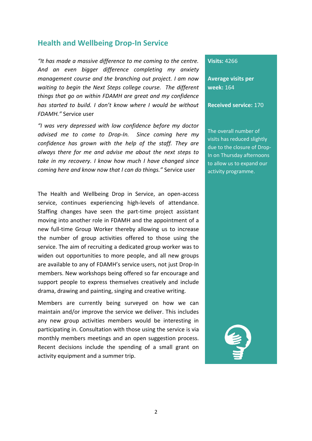## **Health and Wellbeing Drop-In Service**

*"It has made a massive difference to me coming to the centre. And an even bigger difference completing my anxiety management course and the branching out project. I am now waiting to begin the Next Steps college course. The different things that go on within FDAMH are great and my confidence has started to build. I don't know where I would be without FDAMH."* Service user

*"I was very depressed with low confidence before my doctor advised me to come to Drop-In. Since coming here my confidence has grown with the help of the staff. They are always there for me and advise me about the next steps to take in my recovery. I know how much I have changed since coming here and know now that I can do things."* Service user

The Health and Wellbeing Drop in Service, an open-access service, continues experiencing high-levels of attendance. Staffing changes have seen the part-time project assistant moving into another role in FDAMH and the appointment of a new full-time Group Worker thereby allowing us to increase the number of group activities offered to those using the service. The aim of recruiting a dedicated group worker was to widen out opportunities to more people, and all new groups are available to any of FDAMH's service users, not just Drop-In members. New workshops being offered so far encourage and support people to express themselves creatively and include drama, drawing and painting, singing and creative writing.

Members are currently being surveyed on how we can maintain and/or improve the service we deliver. This includes any new group activities members would be interesting in participating in. Consultation with those using the service is via monthly members meetings and an open suggestion process. Recent decisions include the spending of a small grant on activity equipment and a summer trip.

#### **Visits:** 4266

**Average visits per week:** 164

**Received service:** 170

The overall number of visits has reduced slightly due to the closure of Drop-In on Thursday afternoons to allow us to expand our activity programme.

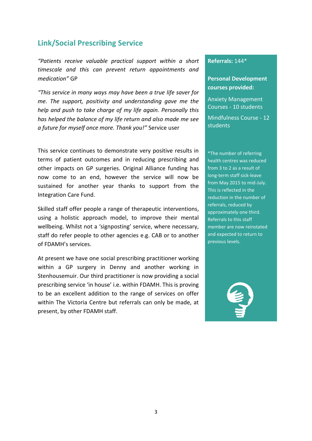# **Link/Social Prescribing Service**

*"Patients receive valuable practical support within a short timescale and this can prevent return appointments and medication"* GP

*"This service in many ways may have been a true life saver for me. The support, positivity and understanding gave me the help and push to take charge of my life again. Personally this has helped the balance of my life return and also made me see a future for myself once more. Thank you!"* Service user

This service continues to demonstrate very positive results in terms of patient outcomes and in reducing prescribing and other impacts on GP surgeries. Original Alliance funding has now come to an end, however the service will now be sustained for another year thanks to support from the Integration Care Fund.

Skilled staff offer people a range of therapeutic interventions, using a holistic approach model, to improve their mental wellbeing. Whilst not a 'signposting' service, where necessary, staff do refer people to other agencies e.g. CAB or to another of FDAMH's services.

At present we have one social prescribing practitioner working within a GP surgery in Denny and another working in Stenhousemuir. Our third practitioner is now providing a social prescribing service 'in house' i.e. within FDAMH. This is proving to be an excellent addition to the range of services on offer within The Victoria Centre but referrals can only be made, at present, by other FDAMH staff.

#### **Referrals:** 144\*

**Personal Development courses provided:**

Anxiety Management Courses - 10 students

Mindfulness Course - 12 students

\*The number of referring health centres was reduced from 3 to 2 as a result of long-term staff sick-leave from May 2015 to mid-July. This is reflected in the reduction in the number of referrals, reduced by approximately one third. Referrals to this staff member are now reinstated and expected to return to previous levels.

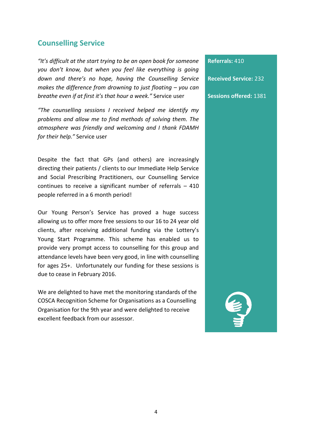# **Counselling Service**

*"It's difficult at the start trying to be an open book for someone you don't know, but when you feel like everything is going down and there's no hope, having the Counselling Service makes the difference from drowning to just floating – you can breathe even if at first it's that hour a week."* Service user

*"The counselling sessions I received helped me identify my problems and allow me to find methods of solving them. The atmosphere was friendly and welcoming and I thank FDAMH for their help."* Service user

Despite the fact that GPs (and others) are increasingly directing their patients / clients to our Immediate Help Service and Social Prescribing Practitioners, our Counselling Service continues to receive a significant number of referrals – 410 people referred in a 6 month period!

Our Young Person's Service has proved a huge success allowing us to offer more free sessions to our 16 to 24 year old clients, after receiving additional funding via the Lottery's Young Start Programme. This scheme has enabled us to provide very prompt access to counselling for this group and attendance levels have been very good, in line with counselling for ages 25+. Unfortunately our funding for these sessions is due to cease in February 2016.

We are delighted to have met the monitoring standards of the COSCA Recognition Scheme for Organisations as a Counselling Organisation for the 9th year and were delighted to receive excellent feedback from our assessor.

**Referrals:** 410

**Received Service:** 232

**Sessions offered:** 1381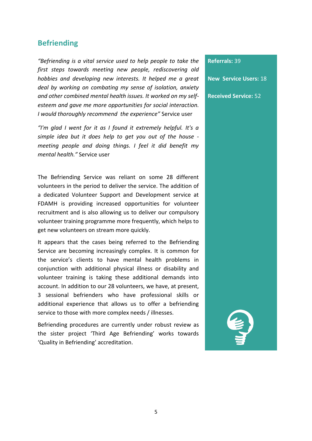# **Befriending**

*"Befriending is a vital service used to help people to take the first steps towards meeting new people, rediscovering old hobbies and developing new interests. It helped me a great deal by working on combating my sense of isolation, anxiety and other combined mental health issues. It worked on my selfesteem and gave me more opportunities for social interaction. I would thoroughly recommend the experience"* Service user

*"I'm glad I went for it as I found it extremely helpful. It's a simple idea but it does help to get you out of the house meeting people and doing things. I feel it did benefit my mental health."* Service user

The Befriending Service was reliant on some 28 different volunteers in the period to deliver the service. The addition of a dedicated Volunteer Support and Development service at FDAMH is providing increased opportunities for volunteer recruitment and is also allowing us to deliver our compulsory volunteer training programme more frequently, which helps to get new volunteers on stream more quickly.

It appears that the cases being referred to the Befriending Service are becoming increasingly complex. It is common for the service's clients to have mental health problems in conjunction with additional physical illness or disability and volunteer training is taking these additional demands into account. In addition to our 28 volunteers, we have, at present, 3 sessional befrienders who have professional skills or additional experience that allows us to offer a befriending service to those with more complex needs / illnesses.

Befriending procedures are currently under robust review as the sister project 'Third Age Befriending' works towards 'Quality in Befriending' accreditation.

#### **Referrals:** 39

**New Service Users:** 18

**Received Service:** 52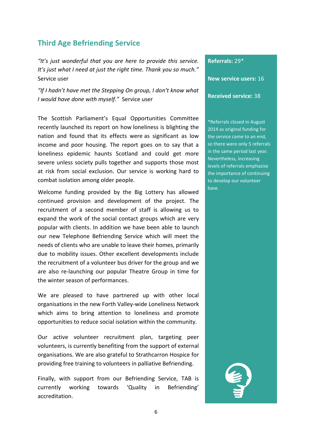# **Third Age Befriending Service**

*"It's just wonderful that you are here to provide this service. It's just what I need at just the right time. Thank you so much."*  Service user

*"If I hadn't have met the Stepping On group, I don't know what I would have done with myself."* Service user

The Scottish Parliament's Equal Opportunities Committee recently launched its report on how loneliness is blighting the nation and found that its effects were as significant as low income and poor housing. The report goes on to say that a loneliness epidemic haunts Scotland and could get more severe unless society pulls together and supports those most at risk from social exclusion. Our service is working hard to combat isolation among older people.

Welcome funding provided by the Big Lottery has allowed continued provision and development of the project. The recruitment of a second member of staff is allowing us to expand the work of the social contact groups which are very popular with clients. In addition we have been able to launch our new Telephone Befriending Service which will meet the needs of clients who are unable to leave their homes, primarily due to mobility issues. Other excellent developments include the recruitment of a volunteer bus driver for the group and we are also re-launching our popular Theatre Group in time for the winter season of performances.

We are pleased to have partnered up with other local organisations in the new Forth Valley-wide Loneliness Network which aims to bring attention to loneliness and promote opportunities to reduce social isolation within the community.

Our active volunteer recruitment plan, targeting peer volunteers, is currently benefiting from the support of external organisations. We are also grateful to Strathcarron Hospice for providing free training to volunteers in palliative Befriending.

Finally, with support from our Befriending Service, TAB is currently working towards 'Quality in Befriending' accreditation.

#### **Referrals:** 29\*

**New service users:** 16

#### **Received service:** 38

\*Referrals closed in August 2014 as original funding for the service came to an end, so there were only 5 referrals in the same period last year. Nevertheless, increasing levels of referrals emphasise the importance of continuing to develop our volunteer base.

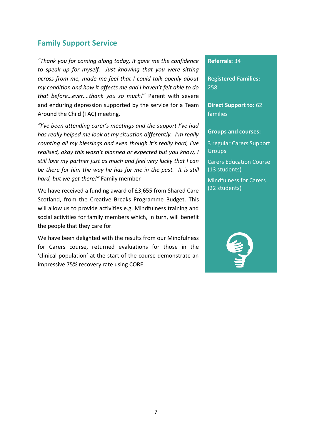# **Family Support Service**

*"Thank you for coming along today, it gave me the confidence to speak up for myself. Just knowing that you were sitting across from me, made me feel that I could talk openly about my condition and how it affects me and I haven't felt able to do that before…ever….thank you so much!"* Parent with severe and enduring depression supported by the service for a Team Around the Child (TAC) meeting.

*"I've been attending carer's meetings and the support I've had has really helped me look at my situation differently. I'm really counting all my blessings and even though it's really hard, I've realised, okay this wasn't planned or expected but you know, I still love my partner just as much and feel very lucky that I can be there for him the way he has for me in the past. It is still hard, but we get there!"* Family member

We have received a funding award of £3,655 from Shared Care Scotland, from the Creative Breaks Programme Budget. This will allow us to provide activities e.g. Mindfulness training and social activities for family members which, in turn, will benefit the people that they care for.

We have been delighted with the results from our Mindfulness for Carers course, returned evaluations for those in the 'clinical population' at the start of the course demonstrate an impressive 75% recovery rate using CORE.

#### **Referrals:** 34

**Registered Families:** 258

**Direct Support to:** 62 families

**Groups and courses:**

3 regular Carers Support **Groups** 

Carers Education Course (13 students)

Mindfulness for Carers (22 students)

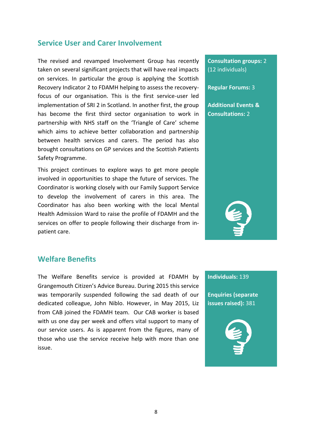# **Service User and Carer Involvement**

The revised and revamped Involvement Group has recently taken on several significant projects that will have real impacts on services. In particular the group is applying the Scottish Recovery Indicator 2 to FDAMH helping to assess the recoveryfocus of our organisation. This is the first service-user led implementation of SRI 2 in Scotland. In another first, the group has become the first third sector organisation to work in partnership with NHS staff on the 'Triangle of Care' scheme which aims to achieve better collaboration and partnership between health services and carers. The period has also brought consultations on GP services and the Scottish Patients Safety Programme.

This project continues to explore ways to get more people involved in opportunities to shape the future of services. The Coordinator is working closely with our Family Support Service to develop the involvement of carers in this area. The Coordinator has also been working with the local Mental Health Admission Ward to raise the profile of FDAMH and the services on offer to people following their discharge from inpatient care.

# **Consultation groups:** 2 (12 individuals) **Regular Forums:** 3 **Additional Events & Consultations:** 2



# **Welfare Benefits**

The Welfare Benefits service is provided at FDAMH by Grangemouth Citizen's Advice Bureau. During 2015 this service was temporarily suspended following the sad death of our dedicated colleague, John Niblo. However, in May 2015, Liz from CAB joined the FDAMH team. Our CAB worker is based with us one day per week and offers vital support to many of our service users. As is apparent from the figures, many of those who use the service receive help with more than one issue.

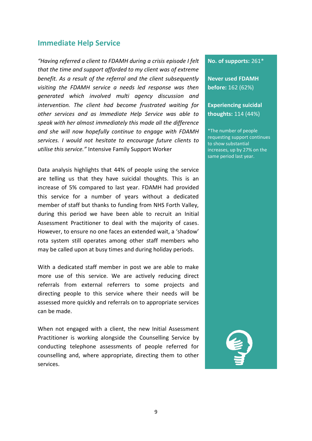# **Immediate Help Service**

*"Having referred a client to FDAMH during a crisis episode I felt that the time and support afforded to my client was of extreme benefit. As a result of the referral and the client subsequently visiting the FDAMH service a needs led response was then generated which involved multi agency discussion and intervention. The client had become frustrated waiting for other services and as Immediate Help Service was able to speak with her almost immediately this made all the difference and she will now hopefully continue to engage with FDAMH services. I would not hesitate to encourage future clients to utilise this service."* Intensive Family Support Worker

Data analysis highlights that 44% of people using the service are telling us that they have suicidal thoughts. This is an increase of 5% compared to last year. FDAMH had provided this service for a number of years without a dedicated member of staff but thanks to funding from NHS Forth Valley, during this period we have been able to recruit an Initial Assessment Practitioner to deal with the majority of cases. However, to ensure no one faces an extended wait, a 'shadow' rota system still operates among other staff members who may be called upon at busy times and during holiday periods.

With a dedicated staff member in post we are able to make more use of this service. We are actively reducing direct referrals from external referrers to some projects and directing people to this service where their needs will be assessed more quickly and referrals on to appropriate services can be made.

When not engaged with a client, the new Initial Assessment Practitioner is working alongside the Counselling Service by conducting telephone assessments of people referred for counselling and, where appropriate, directing them to other services.

#### **No. of supports:** 261\*

**Never used FDAMH before:** 162 (62%)

### **Experiencing suicidal thoughts:** 114 (44%)

\*The number of people requesting support continues to show substantial increases, up by 27% on the same period last year.

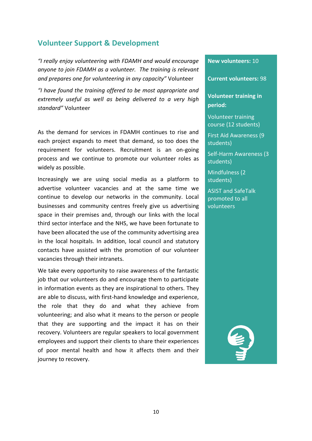# **Volunteer Support & Development**

*"I really enjoy volunteering with FDAMH and would encourage anyone to join FDAMH as a volunteer. The training is relevant and prepares one for volunteering in any capacity"* Volunteer

*"I have found the training offered to be most appropriate and extremely useful as well as being delivered to a very high standard"* Volunteer

As the demand for services in FDAMH continues to rise and each project expands to meet that demand, so too does the requirement for volunteers. Recruitment is an on-going process and we continue to promote our volunteer roles as widely as possible.

Increasingly we are using social media as a platform to advertise volunteer vacancies and at the same time we continue to develop our networks in the community. Local businesses and community centres freely give us advertising space in their premises and, through our links with the local third sector interface and the NHS, we have been fortunate to have been allocated the use of the community advertising area in the local hospitals. In addition, local council and statutory contacts have assisted with the promotion of our volunteer vacancies through their intranets.

We take every opportunity to raise awareness of the fantastic job that our volunteers do and encourage them to participate in information events as they are inspirational to others. They are able to discuss, with first-hand knowledge and experience, the role that they do and what they achieve from volunteering; and also what it means to the person or people that they are supporting and the impact it has on their recovery. Volunteers are regular speakers to local government employees and support their clients to share their experiences of poor mental health and how it affects them and their journey to recovery.

#### **New volunteers:** 10

**Current volunteers:** 98

**Volunteer training in period:**

Volunteer training course (12 students)

First Aid Awareness (9 students)

Self-Harm Awareness (3 students)

Mindfulness (2 students)

ASIST and SafeTalk promoted to all volunteers

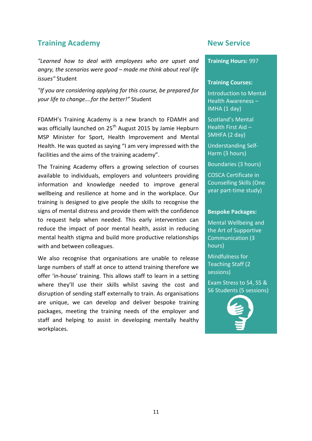# **Training Academy New Service**

*"Learned how to deal with employees who are upset and angry, the scenarios were good – made me think about real life issues"* Student

*"If you are considering applying for this course, be prepared for your life to change….for the better!"* Student

FDAMH's Training Academy is a new branch to FDAMH and was officially launched on 25<sup>th</sup> August 2015 by Jamie Hepburn MSP Minister for Sport, Health Improvement and Mental Health. He was quoted as saying "I am very impressed with the facilities and the aims of the training academy".

The Training Academy offers a growing selection of courses available to individuals, employers and volunteers providing information and knowledge needed to improve general wellbeing and resilience at home and in the workplace. Our training is designed to give people the skills to recognise the signs of mental distress and provide them with the confidence to request help when needed. This early intervention can reduce the impact of poor mental health, assist in reducing mental health stigma and build more productive relationships with and between colleagues.

We also recognise that organisations are unable to release large numbers of staff at once to attend training therefore we offer 'in-house' training. This allows staff to learn in a setting where they'll use their skills whilst saving the cost and disruption of sending staff externally to train. As organisations are unique, we can develop and deliver bespoke training packages, meeting the training needs of the employer and staff and helping to assist in developing mentally healthy workplaces.

#### **Training Hours:** 997

#### **Training Courses:**

Introduction to Mental Health Awareness – IMHA (1 day)

Scotland's Mental Health First Aid – SMHFA (2 day)

Understanding Self-Harm (3 hours)

Boundaries (3 hours)

COSCA Certificate in Counselling Skills (One year part-time study)

#### **Bespoke Packages:**

Mental Wellbeing and the Art of Supportive Communication (3 hours)

Mindfulness for Teaching Staff (2 sessions)

Exam Stress to S4, S5 & S6 Students (5 sessions)